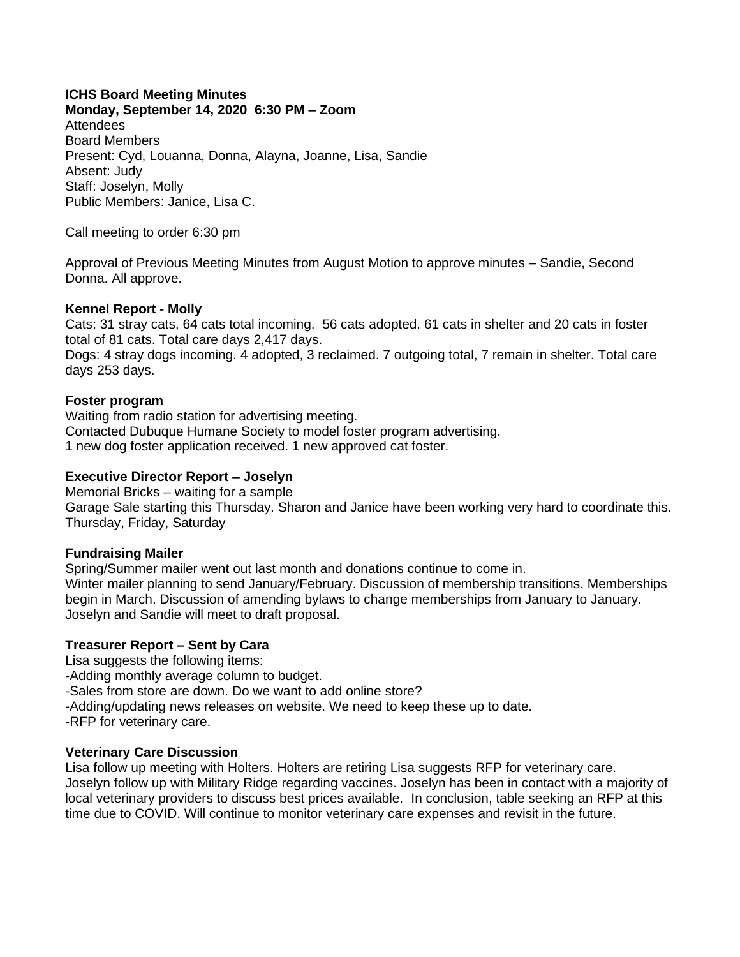## **ICHS Board Meeting Minutes**

**Monday, September 14, 2020 6:30 PM – Zoom** Attendees Board Members Present: Cyd, Louanna, Donna, Alayna, Joanne, Lisa, Sandie Absent: Judy Staff: Joselyn, Molly Public Members: Janice, Lisa C.

Call meeting to order 6:30 pm

Approval of Previous Meeting Minutes from August Motion to approve minutes – Sandie, Second Donna. All approve.

### **Kennel Report - Molly**

Cats: 31 stray cats, 64 cats total incoming. 56 cats adopted. 61 cats in shelter and 20 cats in foster total of 81 cats. Total care days 2,417 days.

Dogs: 4 stray dogs incoming. 4 adopted, 3 reclaimed. 7 outgoing total, 7 remain in shelter. Total care days 253 days.

### **Foster program**

Waiting from radio station for advertising meeting. Contacted Dubuque Humane Society to model foster program advertising. 1 new dog foster application received. 1 new approved cat foster.

### **Executive Director Report – Joselyn**

Memorial Bricks – waiting for a sample Garage Sale starting this Thursday. Sharon and Janice have been working very hard to coordinate this. Thursday, Friday, Saturday

## **Fundraising Mailer**

Spring/Summer mailer went out last month and donations continue to come in. Winter mailer planning to send January/February. Discussion of membership transitions. Memberships begin in March. Discussion of amending bylaws to change memberships from January to January. Joselyn and Sandie will meet to draft proposal.

## **Treasurer Report – Sent by Cara**

Lisa suggests the following items:

-Adding monthly average column to budget.

-Sales from store are down. Do we want to add online store?

-Adding/updating news releases on website. We need to keep these up to date.

-RFP for veterinary care.

## **Veterinary Care Discussion**

Lisa follow up meeting with Holters. Holters are retiring Lisa suggests RFP for veterinary care. Joselyn follow up with Military Ridge regarding vaccines. Joselyn has been in contact with a majority of local veterinary providers to discuss best prices available. In conclusion, table seeking an RFP at this time due to COVID. Will continue to monitor veterinary care expenses and revisit in the future.